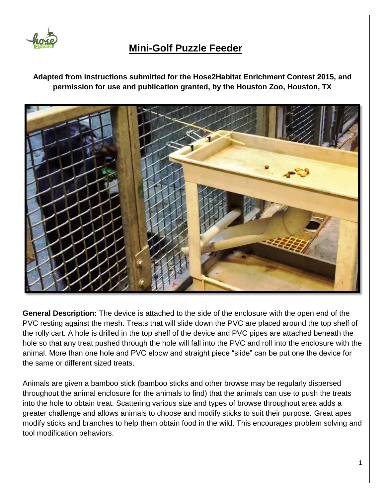

## **Mini-Golf Puzzle Feeder**

**Adapted from instructions submitted for the Hose2Habitat Enrichment Contest 2015, and permission for use and publication granted, by the Houston Zoo, Houston, TX**



**General Description:** The device is attached to the side of the enclosure with the open end of the PVC resting against the mesh. Treats that will slide down the PVC are placed around the top shelf of the rolly cart. A hole is drilled in the top shelf of the device and PVC pipes are attached beneath the hole so that any treat pushed through the hole will fall into the PVC and roll into the enclosure with the animal. More than one hole and PVC elbow and straight piece "slide" can be put one the device for the same or different sized treats.

Animals are given a bamboo stick (bamboo sticks and other browse may be regularly dispersed throughout the animal enclosure for the animals to find) that the animals can use to push the treats into the hole to obtain treat. Scattering various size and types of browse throughout area adds a greater challenge and allows animals to choose and modify sticks to suit their purpose. Great apes modify sticks and branches to help them obtain food in the wild. This encourages problem solving and tool modification behaviors.